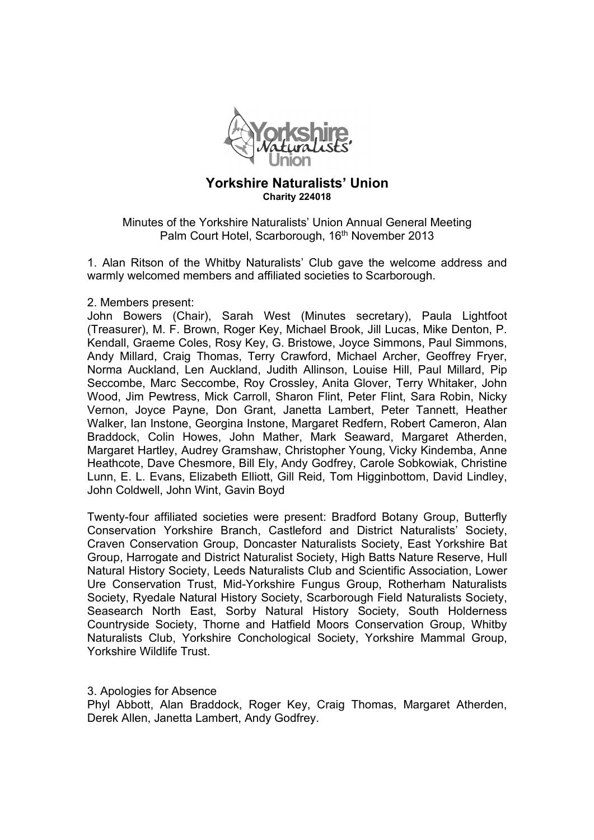

## **Yorkshire Naturalists' Union Charity 224018**

Minutes of the Yorkshire Naturalists' Union Annual General Meeting Palm Court Hotel, Scarborough, 16<sup>th</sup> November 2013

1. Alan Ritson of the Whitby Naturalists' Club gave the welcome address and warmly welcomed members and affiliated societies to Scarborough.

## 2. Members present:

John Bowers (Chair), Sarah West (Minutes secretary), Paula Lightfoot (Treasurer), M. F. Brown, Roger Key, Michael Brook, Jill Lucas, Mike Denton, P. Kendall, Graeme Coles, Rosy Key, G. Bristowe, Joyce Simmons, Paul Simmons, Andy Millard, Craig Thomas, Terry Crawford, Michael Archer, Geoffrey Fryer, Norma Auckland, Len Auckland, Judith Allinson, Louise Hill, Paul Millard, Pip Seccombe, Marc Seccombe, Roy Crossley, Anita Glover, Terry Whitaker, John Wood, Jim Pewtress, Mick Carroll, Sharon Flint, Peter Flint, Sara Robin, Nicky Vernon, Joyce Payne, Don Grant, Janetta Lambert, Peter Tannett, Heather Walker, Ian Instone, Georgina Instone, Margaret Redfern, Robert Cameron, Alan Braddock, Colin Howes, John Mather, Mark Seaward, Margaret Atherden, Margaret Hartley, Audrey Gramshaw, Christopher Young, Vicky Kindemba, Anne Heathcote, Dave Chesmore, Bill Ely, Andy Godfrey, Carole Sobkowiak, Christine Lunn, E. L. Evans, Elizabeth Elliott, Gill Reid, Tom Higginbottom, David Lindley, John Coldwell, John Wint, Gavin Boyd

Twenty-four affiliated societies were present: Bradford Botany Group, Butterfly Conservation Yorkshire Branch, Castleford and District Naturalists' Society, Craven Conservation Group, Doncaster Naturalists Society, East Yorkshire Bat Group, Harrogate and District Naturalist Society, High Batts Nature Reserve, Hull Natural History Society, Leeds Naturalists Club and Scientific Association, Lower Ure Conservation Trust, Mid-Yorkshire Fungus Group, Rotherham Naturalists Society, Ryedale Natural History Society, Scarborough Field Naturalists Society, Seasearch North East, Sorby Natural History Society, South Holderness Countryside Society, Thorne and Hatfield Moors Conservation Group, Whitby Naturalists Club, Yorkshire Conchological Society, Yorkshire Mammal Group, Yorkshire Wildlife Trust.

## 3. Apologies for Absence

Phyl Abbott, Alan Braddock, Roger Key, Craig Thomas, Margaret Atherden, Derek Allen, Janetta Lambert, Andy Godfrey.